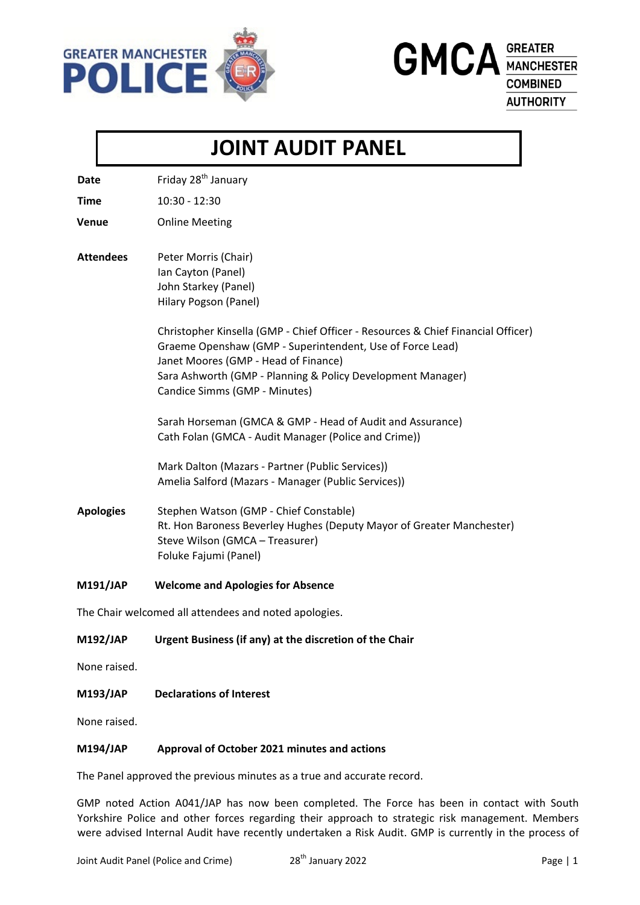

**GMCA** GREATER **COMBINED AUTHORITY** 

# **JOINT AUDIT PANEL**

**Date** Friday 28<sup>th</sup> January

**Time** 10:30 - 12:30

**Venue** Online Meeting

## **Attendees** Peter Morris (Chair) Ian Cayton (Panel) John Starkey (Panel) Hilary Pogson (Panel)

Christopher Kinsella (GMP - Chief Officer - Resources & Chief Financial Officer) Graeme Openshaw (GMP - Superintendent, Use of Force Lead) Janet Moores (GMP - Head of Finance) Sara Ashworth (GMP - Planning & Policy Development Manager) Candice Simms (GMP - Minutes)

Sarah Horseman (GMCA & GMP - Head of Audit and Assurance) Cath Folan (GMCA - Audit Manager (Police and Crime))

Mark Dalton (Mazars - Partner (Public Services)) Amelia Salford (Mazars - Manager (Public Services))

**Apologies** Stephen Watson (GMP - Chief Constable) Rt. Hon Baroness Beverley Hughes (Deputy Mayor of Greater Manchester) Steve Wilson (GMCA – Treasurer) Foluke Fajumi (Panel)

#### **M191/JAP Welcome and Apologies for Absence**

The Chair welcomed all attendees and noted apologies.

#### **M192/JAP Urgent Business (if any) at the discretion of the Chair**

None raised.

**M193/JAP Declarations of Interest**

None raised.

#### **M194/JAP Approval of October 2021 minutes and actions**

The Panel approved the previous minutes as a true and accurate record.

GMP noted Action A041/JAP has now been completed. The Force has been in contact with South Yorkshire Police and other forces regarding their approach to strategic risk management. Members were advised Internal Audit have recently undertaken a Risk Audit. GMP is currently in the process of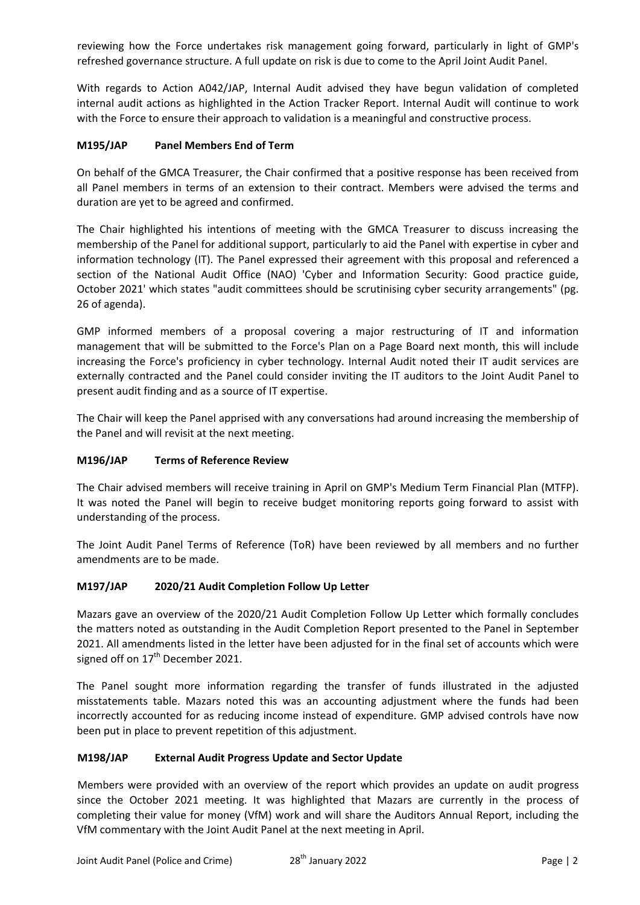reviewing how the Force undertakes risk management going forward, particularly in light of GMP's refreshed governance structure. A full update on risk is due to come to the April Joint Audit Panel.

With regards to Action A042/JAP, Internal Audit advised they have begun validation of completed internal audit actions as highlighted in the Action Tracker Report. Internal Audit will continue to work with the Force to ensure their approach to validation is a meaningful and constructive process.

# **M195/JAP Panel Members End of Term**

On behalf of the GMCA Treasurer, the Chair confirmed that a positive response has been received from all Panel members in terms of an extension to their contract. Members were advised the terms and duration are yet to be agreed and confirmed.

The Chair highlighted his intentions of meeting with the GMCA Treasurer to discuss increasing the membership of the Panel for additional support, particularly to aid the Panel with expertise in cyber and information technology (IT). The Panel expressed their agreement with this proposal and referenced a section of the National Audit Office (NAO) 'Cyber and Information Security: Good practice guide, October 2021' which states "audit committees should be scrutinising cyber security arrangements" (pg. 26 of agenda).

GMP informed members of a proposal covering a major restructuring of IT and information management that will be submitted to the Force's Plan on a Page Board next month, this will include increasing the Force's proficiency in cyber technology. Internal Audit noted their IT audit services are externally contracted and the Panel could consider inviting the IT auditors to the Joint Audit Panel to present audit finding and as a source of IT expertise.

The Chair will keep the Panel apprised with any conversations had around increasing the membership of the Panel and will revisit at the next meeting.

# **M196/JAP Terms of Reference Review**

The Chair advised members will receive training in April on GMP's Medium Term Financial Plan (MTFP). It was noted the Panel will begin to receive budget monitoring reports going forward to assist with understanding of the process.

The Joint Audit Panel Terms of Reference (ToR) have been reviewed by all members and no further amendments are to be made.

# **M197/JAP 2020/21 Audit Completion Follow Up Letter**

Mazars gave an overview of the 2020/21 Audit Completion Follow Up Letter which formally concludes the matters noted as outstanding in the Audit Completion Report presented to the Panel in September 2021. All amendments listed in the letter have been adjusted for in the final set of accounts which were signed off on  $17<sup>th</sup>$  December 2021.

The Panel sought more information regarding the transfer of funds illustrated in the adjusted misstatements table. Mazars noted this was an accounting adjustment where the funds had been incorrectly accounted for as reducing income instead of expenditure. GMP advised controls have now been put in place to prevent repetition of this adjustment.

# **M198/JAP External Audit Progress Update and Sector Update**

Members were provided with an overview of the report which provides an update on audit progress since the October 2021 meeting. It was highlighted that Mazars are currently in the process of completing their value for money (VfM) work and will share the Auditors Annual Report, including the VfM commentary with the Joint Audit Panel at the next meeting in April.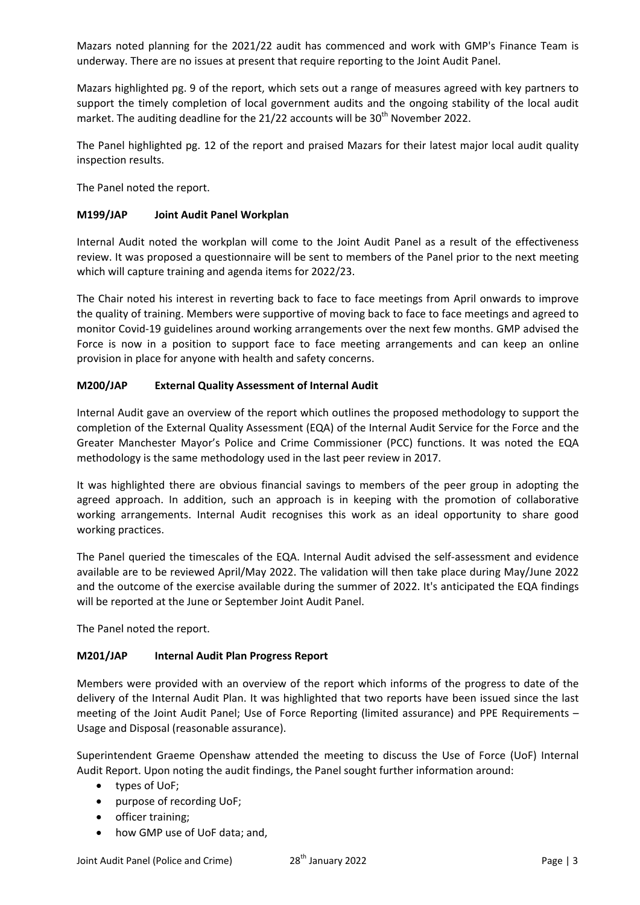Mazars noted planning for the 2021/22 audit has commenced and work with GMP's Finance Team is underway. There are no issues at present that require reporting to the Joint Audit Panel.

Mazars highlighted pg. 9 of the report, which sets out a range of measures agreed with key partners to support the timely completion of local government audits and the ongoing stability of the local audit market. The auditing deadline for the 21/22 accounts will be  $30<sup>th</sup>$  November 2022.

The Panel highlighted pg. 12 of the report and praised Mazars for their latest major local audit quality inspection results.

The Panel noted the report.

## **M199/JAP Joint Audit Panel Workplan**

Internal Audit noted the workplan will come to the Joint Audit Panel as a result of the effectiveness review. It was proposed a questionnaire will be sent to members of the Panel prior to the next meeting which will capture training and agenda items for 2022/23.

The Chair noted his interest in reverting back to face to face meetings from April onwards to improve the quality of training. Members were supportive of moving back to face to face meetings and agreed to monitor Covid-19 guidelines around working arrangements over the next few months. GMP advised the Force is now in a position to support face to face meeting arrangements and can keep an online provision in place for anyone with health and safety concerns.

## **M200/JAP External Quality Assessment of Internal Audit**

Internal Audit gave an overview of the report which outlines the proposed methodology to support the completion of the External Quality Assessment (EQA) of the Internal Audit Service for the Force and the Greater Manchester Mayor's Police and Crime Commissioner (PCC) functions. It was noted the EQA methodology is the same methodology used in the last peer review in 2017.

It was highlighted there are obvious financial savings to members of the peer group in adopting the agreed approach. In addition, such an approach is in keeping with the promotion of collaborative working arrangements. Internal Audit recognises this work as an ideal opportunity to share good working practices.

The Panel queried the timescales of the EQA. Internal Audit advised the self-assessment and evidence available are to be reviewed April/May 2022. The validation will then take place during May/June 2022 and the outcome of the exercise available during the summer of 2022. It's anticipated the EQA findings will be reported at the June or September Joint Audit Panel.

The Panel noted the report.

# **M201/JAP Internal Audit Plan Progress Report**

Members were provided with an overview of the report which informs of the progress to date of the delivery of the Internal Audit Plan. It was highlighted that two reports have been issued since the last meeting of the Joint Audit Panel; Use of Force Reporting (limited assurance) and PPE Requirements – Usage and Disposal (reasonable assurance).

Superintendent Graeme Openshaw attended the meeting to discuss the Use of Force (UoF) Internal Audit Report. Upon noting the audit findings, the Panel sought further information around:

- types of UoF;
- purpose of recording UoF;
- officer training;
- how GMP use of UoF data; and,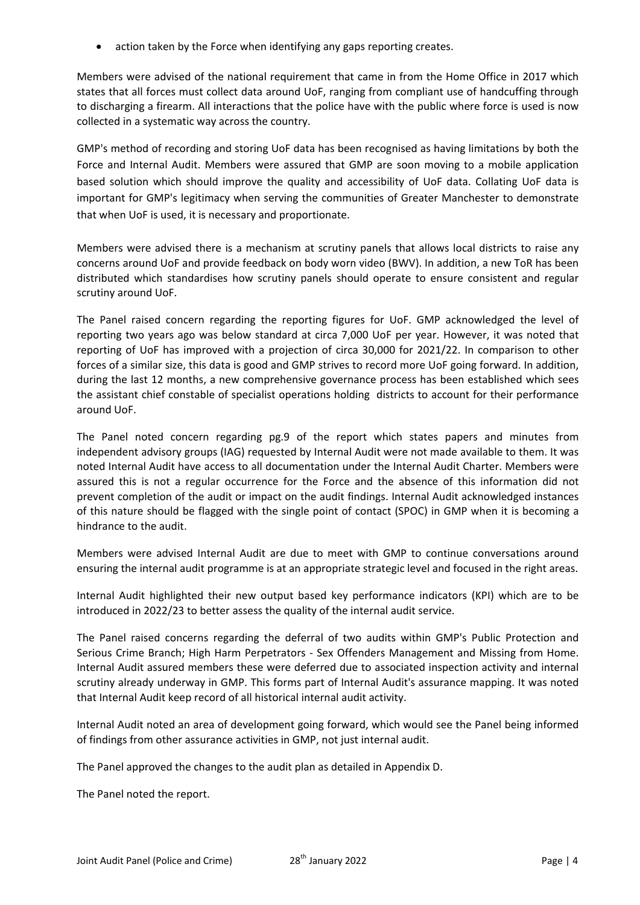action taken by the Force when identifying any gaps reporting creates.

Members were advised of the national requirement that came in from the Home Office in 2017 which states that all forces must collect data around UoF, ranging from compliant use of handcuffing through to discharging a firearm. All interactions that the police have with the public where force is used is now collected in a systematic way across the country.

GMP's method of recording and storing UoF data has been recognised as having limitations by both the Force and Internal Audit. Members were assured that GMP are soon moving to a mobile application based solution which should improve the quality and accessibility of UoF data. Collating UoF data is important for GMP's legitimacy when serving the communities of Greater Manchester to demonstrate that when UoF is used, it is necessary and proportionate.

Members were advised there is a mechanism at scrutiny panels that allows local districts to raise any concerns around UoF and provide feedback on body worn video (BWV). In addition, a new ToR has been distributed which standardises how scrutiny panels should operate to ensure consistent and regular scrutiny around UoF.

The Panel raised concern regarding the reporting figures for UoF. GMP acknowledged the level of reporting two years ago was below standard at circa 7,000 UoF per year. However, it was noted that reporting of UoF has improved with a projection of circa 30,000 for 2021/22. In comparison to other forces of a similar size, this data is good and GMP strives to record more UoF going forward. In addition, during the last 12 months, a new comprehensive governance process has been established which sees the assistant chief constable of specialist operations holding districts to account for their performance around UoF.

The Panel noted concern regarding pg.9 of the report which states papers and minutes from independent advisory groups (IAG) requested by Internal Audit were not made available to them. It was noted Internal Audit have access to all documentation under the Internal Audit Charter. Members were assured this is not a regular occurrence for the Force and the absence of this information did not prevent completion of the audit or impact on the audit findings. Internal Audit acknowledged instances of this nature should be flagged with the single point of contact (SPOC) in GMP when it is becoming a hindrance to the audit.

Members were advised Internal Audit are due to meet with GMP to continue conversations around ensuring the internal audit programme is at an appropriate strategic level and focused in the right areas.

Internal Audit highlighted their new output based key performance indicators (KPI) which are to be introduced in 2022/23 to better assess the quality of the internal audit service.

The Panel raised concerns regarding the deferral of two audits within GMP's Public Protection and Serious Crime Branch; High Harm Perpetrators - Sex Offenders Management and Missing from Home. Internal Audit assured members these were deferred due to associated inspection activity and internal scrutiny already underway in GMP. This forms part of Internal Audit's assurance mapping. It was noted that Internal Audit keep record of all historical internal audit activity.

Internal Audit noted an area of development going forward, which would see the Panel being informed of findings from other assurance activities in GMP, not just internal audit.

The Panel approved the changes to the audit plan as detailed in Appendix D.

The Panel noted the report.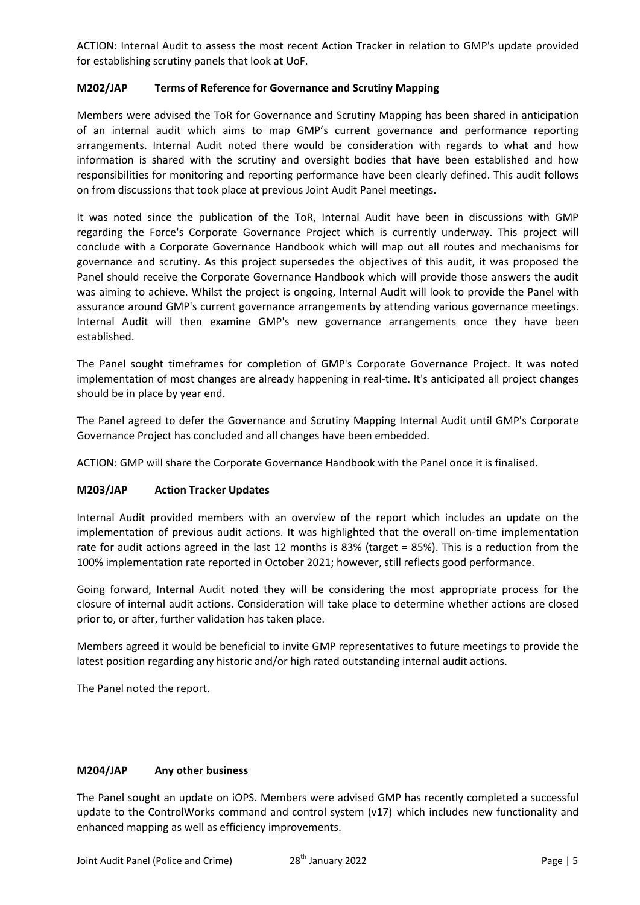ACTION: Internal Audit to assess the most recent Action Tracker in relation to GMP's update provided for establishing scrutiny panels that look at UoF.

## **M202/JAP Terms of Reference for Governance and Scrutiny Mapping**

Members were advised the ToR for Governance and Scrutiny Mapping has been shared in anticipation of an internal audit which aims to map GMP's current governance and performance reporting arrangements. Internal Audit noted there would be consideration with regards to what and how information is shared with the scrutiny and oversight bodies that have been established and how responsibilities for monitoring and reporting performance have been clearly defined. This audit follows on from discussions that took place at previous Joint Audit Panel meetings.

It was noted since the publication of the ToR, Internal Audit have been in discussions with GMP regarding the Force's Corporate Governance Project which is currently underway. This project will conclude with a Corporate Governance Handbook which will map out all routes and mechanisms for governance and scrutiny. As this project supersedes the objectives of this audit, it was proposed the Panel should receive the Corporate Governance Handbook which will provide those answers the audit was aiming to achieve. Whilst the project is ongoing, Internal Audit will look to provide the Panel with assurance around GMP's current governance arrangements by attending various governance meetings. Internal Audit will then examine GMP's new governance arrangements once they have been established.

The Panel sought timeframes for completion of GMP's Corporate Governance Project. It was noted implementation of most changes are already happening in real-time. It's anticipated all project changes should be in place by year end.

The Panel agreed to defer the Governance and Scrutiny Mapping Internal Audit until GMP's Corporate Governance Project has concluded and all changes have been embedded.

ACTION: GMP will share the Corporate Governance Handbook with the Panel once it is finalised.

#### **M203/JAP Action Tracker Updates**

Internal Audit provided members with an overview of the report which includes an update on the implementation of previous audit actions. It was highlighted that the overall on-time implementation rate for audit actions agreed in the last 12 months is 83% (target = 85%). This is a reduction from the 100% implementation rate reported in October 2021; however, still reflects good performance.

Going forward, Internal Audit noted they will be considering the most appropriate process for the closure of internal audit actions. Consideration will take place to determine whether actions are closed prior to, or after, further validation has taken place.

Members agreed it would be beneficial to invite GMP representatives to future meetings to provide the latest position regarding any historic and/or high rated outstanding internal audit actions.

The Panel noted the report.

#### **M204/JAP Any other business**

The Panel sought an update on iOPS. Members were advised GMP has recently completed a successful update to the ControlWorks command and control system (v17) which includes new functionality and enhanced mapping as well as efficiency improvements.